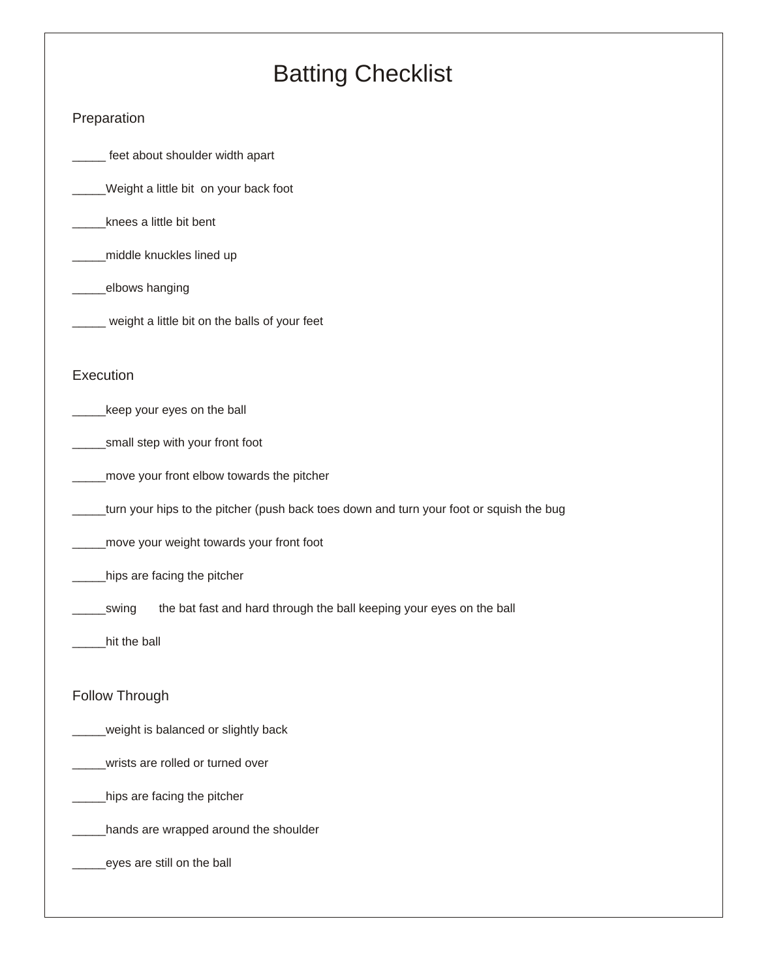# *Batting Checklist*

# *Preparation*

*\_\_\_\_\_ feet about shoulder width apart*

*\_\_\_\_\_Weight a little bit on your back foot*

*\_\_\_\_\_knees a little bit bent*

*\_\_\_\_\_middle knuckles lined up*

*\_\_\_\_\_elbows hanging*

*\_\_\_\_\_ weight a little bit on the balls of your feet*

#### *Execution*

*\_\_\_\_\_keep your eyes on the ball*

*\_\_\_\_\_small step with your front foot*

*\_\_\_\_\_move your front elbow towards the pitcher*

*\_\_\_\_\_turn your hips to the pitcher (push back toes down and turn your foot or squish the bug*

*\_\_\_\_\_move your weight towards your front foot*

*\_\_\_\_\_hips are facing the pitcher*

*\_\_\_\_\_swing the bat fast and hard through the ball keeping your eyes on the ball*

*\_\_\_\_\_hit the ball*

# *Follow Through*

*\_\_\_\_\_weight is balanced or slightly back*

*\_\_\_\_\_wrists are rolled or turned over*

*\_\_\_\_\_hips are facing the pitcher*

*\_\_\_\_\_hands are wrapped around the shoulder*

*\_\_\_\_\_eyes are still on the ball*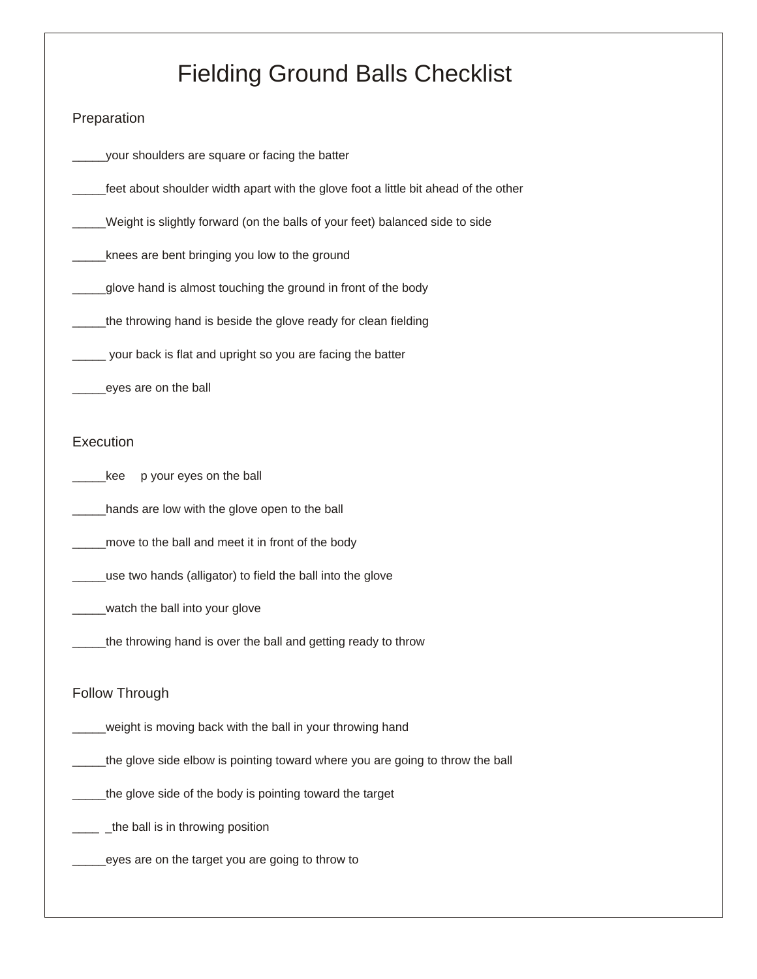# *Fielding Ground Balls Checklist*

### *Preparation*

*\_\_\_\_\_your shoulders are square or facing the batter*

*\_\_\_\_\_feet about shoulder width apart with the glove foot a little bit ahead of the other*

*\_\_\_\_\_Weight is slightly forward (on the balls of your feet) balanced side to side*

*\_\_\_\_\_knees are bent bringing you low to the ground*

*\_\_\_\_\_glove hand is almost touching the ground in front of the body*

*\_\_\_\_\_the throwing hand is beside the glove ready for clean fielding*

*\_\_\_\_\_ your back is flat and upright so you are facing the batter*

*\_\_\_\_\_eyes are on the ball*

# *Execution*

*\_\_\_\_\_kee p your eyes on the ball*

*\_\_\_\_\_hands are low with the glove open to the ball*

*\_\_\_\_\_move to the ball and meet it in front of the body*

*\_\_\_\_\_use two hands (alligator) to field the ball into the glove*

*\_\_\_\_\_watch the ball into your glove*

*\_\_\_\_\_the throwing hand is over the ball and getting ready to throw*

# *Follow Through*

*\_\_\_\_\_weight is moving back with the ball in your throwing hand*

*\_\_\_\_\_the glove side elbow is pointing toward where you are going to throw the ball*

*\_\_\_\_\_the glove side of the body is pointing toward the target*

*\_\_\_\_ \_the ball is in throwing position*

*\_\_\_\_\_eyes are on the target you are going to throw to*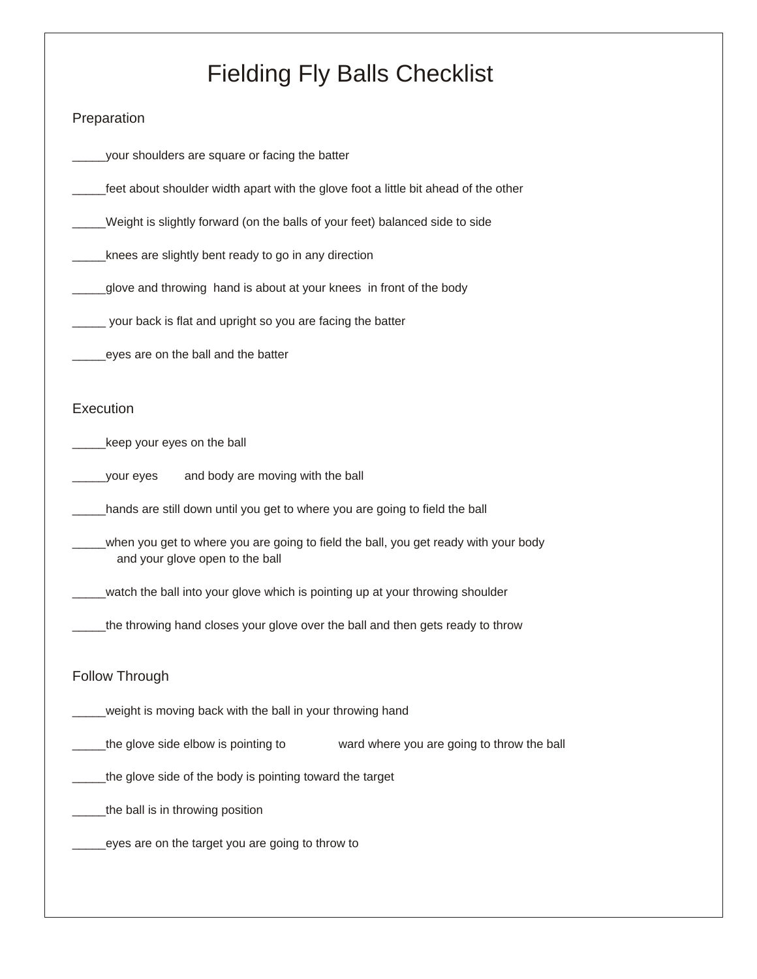# *Fielding Fly Balls Checklist*

# *Preparation*

*\_\_\_\_\_your shoulders are square or facing the batter*

*\_\_\_\_\_feet about shoulder width apart with the glove foot a little bit ahead of the other*

*\_\_\_\_\_Weight is slightly forward (on the balls of your feet) balanced side to side*

*\_\_\_\_\_knees are slightly bent ready to go in any direction*

*\_\_\_\_\_glove and throwing hand is about at your knees in front of the body*

*\_\_\_\_\_ your back is flat and upright so you are facing the batter*

*\_\_\_\_\_eyes are on the ball and the batter*

#### *Execution*

*\_\_\_\_\_keep your eyes on the ball*

*\_\_\_\_\_your eyes and body are moving with the ball*

*\_\_\_\_\_hands are still down until you get to where you are going to field the ball*

*\_\_\_\_\_when you get to where you are going to field the ball, you get ready with your body and your glove open to the ball*

*\_\_\_\_\_watch the ball into your glove which is pointing up at your throwing shoulder*

*\_\_\_\_\_the throwing hand closes your glove over the ball and then gets ready to throw*

# *Follow Through*

*\_\_\_\_\_weight is moving back with the ball in your throwing hand*

*\_\_\_\_\_the glove side elbow is pointing to ward where you are going to throw the ball*

*\_\_\_\_\_the glove side of the body is pointing toward the target*

*\_\_\_\_\_the ball is in throwing position*

*\_\_\_\_\_eyes are on the target you are going to throw to*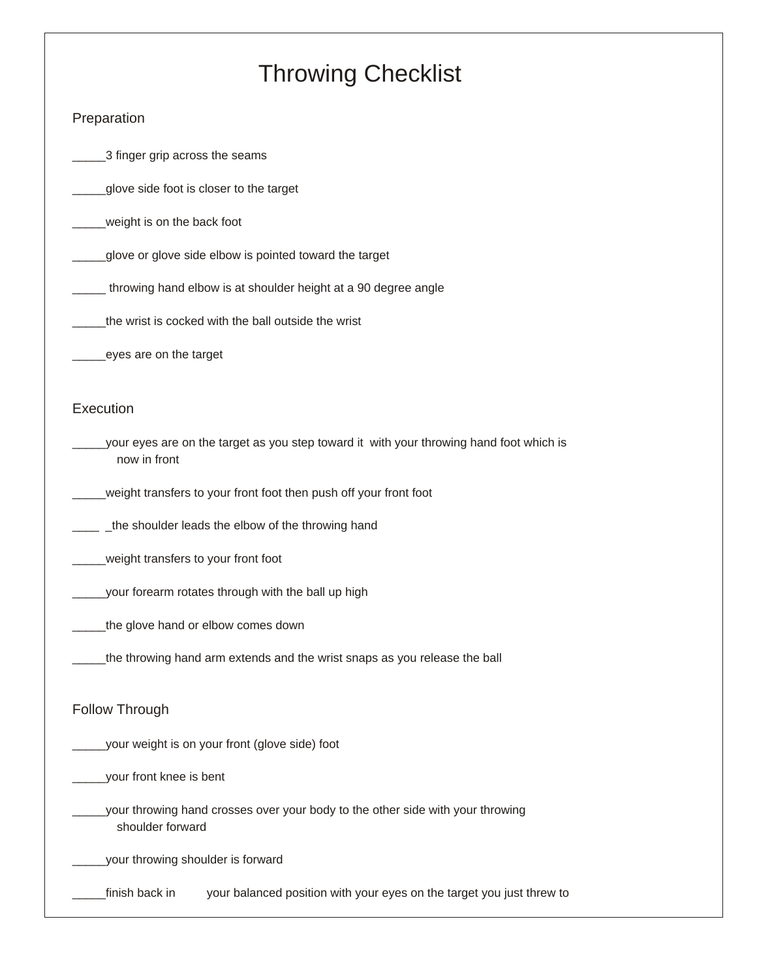# *Throwing Checklist*

### *Preparation*

*\_\_\_\_\_3 finger grip across the seams*

*\_\_\_\_\_glove side foot is closer to the target*

*\_\_\_\_\_weight is on the back foot*

*\_\_\_\_\_glove or glove side elbow is pointed toward the target*

*\_\_\_\_\_ throwing hand elbow is at shoulder height at a 90 degree angle*

*\_\_\_\_\_the wrist is cocked with the ball outside the wrist*

*\_\_\_\_\_eyes are on the target*

#### *Execution*

*\_\_\_\_\_your eyes are on the target as you step toward it with your throwing hand foot which is now in front*

*\_\_\_\_\_weight transfers to your front foot then push off your front foot*

*\_\_\_\_ \_the shoulder leads the elbow of the throwing hand*

*\_\_\_\_\_weight transfers to your front foot*

*\_\_\_\_\_your forearm rotates through with the ball up high*

*\_\_\_\_\_the glove hand or elbow comes down*

*\_\_\_\_\_the throwing hand arm extends and the wrist snaps as you release the ball*

#### *Follow Through*

*\_\_\_\_\_your weight is on your front (glove side) foot* 

*\_\_\_\_\_your front knee is bent*

*\_\_\_\_\_your throwing hand crosses over your body to the other side with your throwing shoulder forward*

*\_\_\_\_\_your throwing shoulder is forward*

*\_\_\_\_\_finish back in your balanced position with your eyes on the target you just threw to*